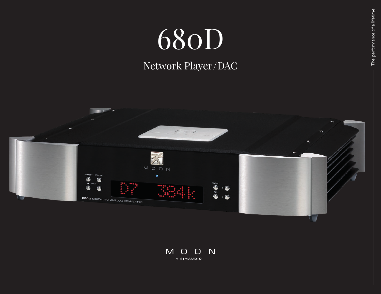## 680D

## Network Player / DAC